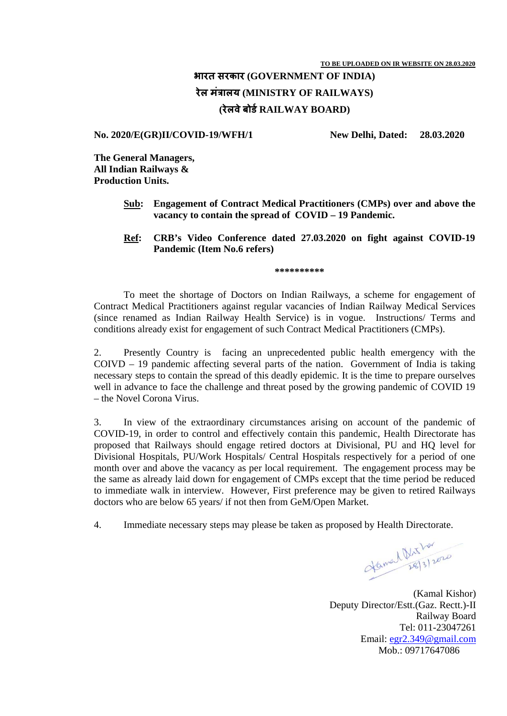## **भारत सरकार (GOVERNMENT OF INDIA) रेल मत्रालय ं (MINISTRY OF RAILWAYS) (रेलवेबोड RAILWAY BOARD) र्**

## **No. 2020/E(GR)II/COVID-19/WFH/1 New Delhi, Dated: 28.03.2020**

**The General Managers, All Indian Railways & Production Units.** 

- **Sub: Engagement of Contract Medical Practitioners (CMPs) over and above the vacancy to contain the spread of COVID – 19 Pandemic.**
- **Ref: CRB's Video Conference dated 27.03.2020 on fight against COVID-19 Pandemic (Item No.6 refers)**

**\*\*\*\*\*\*\*\*\*\*** 

 To meet the shortage of Doctors on Indian Railways, a scheme for engagement of Contract Medical Practitioners against regular vacancies of Indian Railway Medical Services (since renamed as Indian Railway Health Service) is in vogue. Instructions/ Terms and conditions already exist for engagement of such Contract Medical Practitioners (CMPs).

2. Presently Country is facing an unprecedented public health emergency with the COIVD – 19 pandemic affecting several parts of the nation. Government of India is taking necessary steps to contain the spread of this deadly epidemic. It is the time to prepare ourselves well in advance to face the challenge and threat posed by the growing pandemic of COVID 19 – the Novel Corona Virus.

3. In view of the extraordinary circumstances arising on account of the pandemic of COVID-19, in order to control and effectively contain this pandemic, Health Directorate has proposed that Railways should engage retired doctors at Divisional, PU and HQ level for Divisional Hospitals, PU/Work Hospitals/ Central Hospitals respectively for a period of one month over and above the vacancy as per local requirement. The engagement process may be the same as already laid down for engagement of CMPs except that the time period be reduced to immediate walk in interview. However, First preference may be given to retired Railways doctors who are below 65 years/ if not then from GeM/Open Market.

4. Immediate necessary steps may please be taken as proposed by Health Directorate.

Hamal Plat tor

(Kamal Kishor) Deputy Director/Estt.(Gaz. Rectt.)-II Railway Board Tel: 011-23047261 Email: egr2.349@gmail.com Mob.: 09717647086